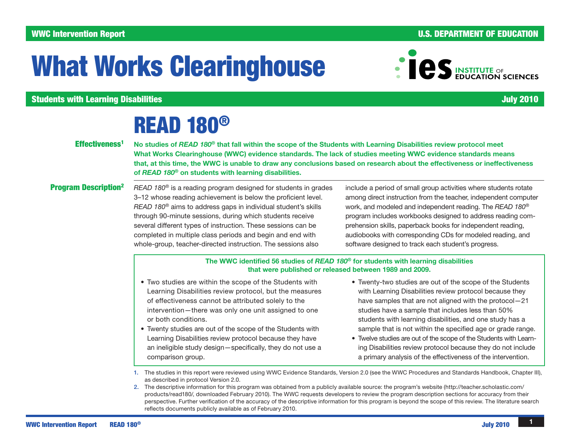## WWC Intervention Report **And The Contract of Contract Contract Contract Contract Contract Contract Contract Contract Contract Contract Contract Contract Contract Contract Contract Contract Contract Contract Contract Contra**

# What Works Clearinghouse

**Students with Learning Disabilities and Students and Students and Students and Students with Learning Disabilities** 

## READ 180®

## Effectiveness<sup>1</sup>

No studies of *READ 180*® that fall within the scope of the Students with Learning Disabilities review protocol meet What Works Clearinghouse (WWC) evidence standards. The lack of studies meeting WWC evidence standards means that, at this time, the WWC is unable to draw any conclusions based on research about the effectiveness or ineffectiveness of *READ 180*® on students with learning disabilities.

## Program Description2

*READ 180*® is a reading program designed for students in grades 3–12 whose reading achievement is below the proficient level. *READ 180*® aims to address gaps in individual student's skills through 90-minute sessions, during which students receive several different types of instruction. These sessions can be completed in multiple class periods and begin and end with whole-group, teacher-directed instruction. The sessions also

include a period of small group activities where students rotate among direct instruction from the teacher, independent computer work, and modeled and independent reading. The *READ 180*® program includes workbooks designed to address reading comprehension skills, paperback books for independent reading, audiobooks with corresponding CDs for modeled reading, and software designed to track each student's progress.

The WWC identified 56 studies of *READ 180*® for students with learning disabilities that were published or released between 1989 and 2009.

- Two studies are within the scope of the Students with Learning Disabilities review protocol, but the measures of effectiveness cannot be attributed solely to the intervention—there was only one unit assigned to one or both conditions.
- Twenty studies are out of the scope of the Students with Learning Disabilities review protocol because they have an ineligible study design—specifically, they do not use a comparison group.
- Twenty-two studies are out of the scope of the Students with Learning Disabilities review protocol because they have samples that are not aligned with the protocol—21 studies have a sample that includes less than 50% students with learning disabilities, and one study has a sample that is not within the specified age or grade range.
- Twelve studies are out of the scope of the Students with Learning Disabilities review protocol because they do not include a primary analysis of the effectiveness of the intervention.

1. The studies in this report were reviewed using WWC Evidence Standards, Version 2.0 (see the WWC Procedures and Standards Handbook, Chapter III), as described in protocol Version 2.0.

2. The descriptive information for this program was obtained from a publicly available source: the program's website ([http://teacher.scholastic.com/](http://teacher.scholastic.com/products/read180/) [products/read180/,](http://teacher.scholastic.com/products/read180/) downloaded February 2010). The WWC requests developers to review the program description sections for accuracy from their perspective. Further verification of the accuracy of the descriptive information for this program is beyond the scope of this review. The literature search reflects documents publicly available as of February 2010.

**COS** INSTITUTE OF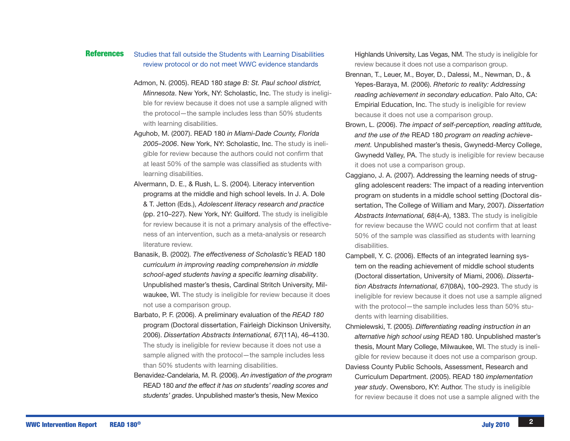### Studies that fall outside the Students with Learning Disabilities review protocol or do not meet WWC evidence standards References

- Admon, N. (2005). READ 180 *stage B: St. Paul school district, Minnesota*. New York, NY: Scholastic, Inc. The study is ineligible for review because it does not use a sample aligned with the protocol—the sample includes less than 50% students with learning disabilities.
- Aguhob, M. (2007). READ 180 *in Miami-Dade County, Florida 2005–2006*. New York, NY: Scholastic, Inc. The study is ineligible for review because the authors could not confirm that at least 50% of the sample was classified as students with learning disabilities.
- Alvermann, D. E., & Rush, L. S. (2004). Literacy intervention programs at the middle and high school levels. In J. A. Dole & T. Jetton (Eds.), *Adolescent literacy research and practice* (pp. 210–227). New York, NY: Guilford. The study is ineligible for review because it is not a primary analysis of the effectiveness of an intervention, such as a meta-analysis or research literature review.
- Banasik, B. (2002). *The effectiveness of Scholastic's* READ 180 *curriculum in improving reading comprehension in middle school-aged students having a specific learning disability*. Unpublished master's thesis, Cardinal Stritch University, Milwaukee, WI. The study is ineligible for review because it does not use a comparison group.
- Barbato, P. F. (2006). A preliminary evaluation of the *READ 180* program (Doctoral dissertation, Fairleigh Dickinson University, 2006). *Dissertation Abstracts International, 67*(11A), 46–4130. The study is ineligible for review because it does not use a sample aligned with the protocol—the sample includes less than 50% students with learning disabilities.
- Benavidez-Candelaria, M. R. (2006). *An investigation of the program* READ 180 *and the effect it has on students' reading scores and students' grades*. Unpublished master's thesis, New Mexico

Highlands University, Las Vegas, NM. The study is ineligible for review because it does not use a comparison group.

- Brennan, T., Leuer, M., Boyer, D., Dalessi, M., Newman, D., & Yepes-Baraya, M. (2006). *Rhetoric to reality: Addressing reading achievement in secondary education*. Palo Alto, CA: Empirial Education, Inc. The study is ineligible for review because it does not use a comparison group.
- Brown, L. (2006). *The impact of self-perception, reading attitude, and the use of the* READ 180 *program on reading achievement.* Unpublished master's thesis, Gwynedd-Mercy College, Gwynedd Valley, PA. The study is ineligible for review because it does not use a comparison group.
- Caggiano, J. A. (2007). Addressing the learning needs of struggling adolescent readers: The impact of a reading intervention program on students in a middle school setting (Doctoral dissertation, The College of William and Mary, 2007). *Dissertation Abstracts International, 68*(4-A), 1383. The study is ineligible for review because the WWC could not confirm that at least 50% of the sample was classified as students with learning disabilities.
- Campbell, Y. C. (2006). Effects of an integrated learning system on the reading achievement of middle school students (Doctoral dissertation, University of Miami, 2006). *Dissertation Abstracts International, 67*(08A), 100–2923. The study is ineligible for review because it does not use a sample aligned with the protocol—the sample includes less than 50% students with learning disabilities.
- Chmielewski, T. (2005). *Differentiating reading instruction in an alternative high school using* READ 180. Unpublished master's thesis, Mount Mary College, Milwaukee, WI. The study is ineligible for review because it does not use a comparison group.
- Daviess County Public Schools, Assessment, Research and Curriculum Department. (2005). READ 180 *implementation year study*. Owensboro, KY: Author. The study is ineligible for review because it does not use a sample aligned with the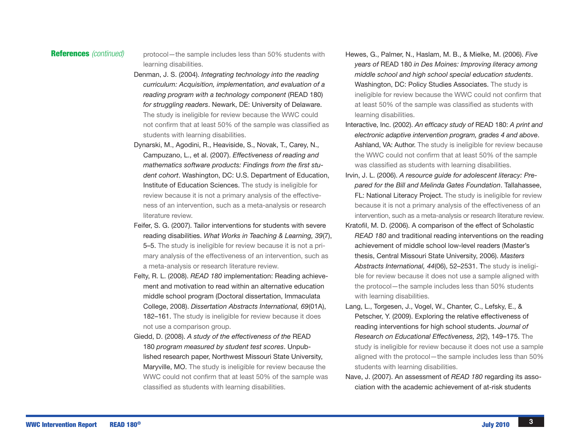**References** (continued) protocol—the sample includes less than 50% students with learning disabilities.

- Denman, J. S. (2004). *Integrating technology into the reading curriculum: Acquisition, implementation, and evaluation of a reading program with a technology component* (READ 180) *for struggling readers*. Newark, DE: University of Delaware. The study is ineligible for review because the WWC could not confirm that at least 50% of the sample was classified as students with learning disabilities.
- Dynarski, M., Agodini, R., Heaviside, S., Novak, T., Carey, N., Campuzano, L., et al. (2007). *Effectiveness of reading and mathematics software products: Findings from the first student cohort*. Washington, DC: U.S. Department of Education, Institute of Education Sciences. The study is ineligible for review because it is not a primary analysis of the effectiveness of an intervention, such as a meta-analysis or research literature review.
- Feifer, S. G. (2007). Tailor interventions for students with severe reading disabilities. *What Works in Teaching & Learning, 39*(7),

5–5. The study is ineligible for review because it is not a primary analysis of the effectiveness of an intervention, such as a meta-analysis or research literature review.

- Felty, R. L. (2008). *READ 180* implementation: Reading achievement and motivation to read within an alternative education middle school program (Doctoral dissertation, Immaculata College, 2008). *Dissertation Abstracts International, 69*(01A), 182–161. The study is ineligible for review because it does not use a comparison group.
- Giedd, D. (2008). *A study of the effectiveness of the* READ 180 *program measured by student test scores*. Unpublished research paper, Northwest Missouri State University, Maryville, MO. The study is ineligible for review because the WWC could not confirm that at least 50% of the sample was classified as students with learning disabilities.
- Hewes, G., Palmer, N., Haslam, M. B., & Mielke, M. (2006). *Five years of* READ 180 *in Des Moines: Improving literacy among middle school and high school special education students*. Washington, DC: Policy Studies Associates. The study is ineligible for review because the WWC could not confirm that at least 50% of the sample was classified as students with learning disabilities.
- Interactive, Inc. (2002). *An efficacy study of* READ 180: *A print and electronic adaptive intervention program, grades 4 and above*. Ashland, VA: Author. The study is ineligible for review because the WWC could not confirm that at least 50% of the sample was classified as students with learning disabilities.
- Irvin, J. L. (2006). *A resource guide for adolescent literacy: Prepared for the Bill and Melinda Gates Foundation*. Tallahassee, FL: National Literacy Project. The study is ineligible for review because it is not a primary analysis of the effectiveness of an intervention, such as a meta-analysis or research literature review.
- Kratofil, M. D. (2006). A comparison of the effect of Scholastic *READ 180* and traditional reading interventions on the reading achievement of middle school low-level readers (Master's thesis, Central Missouri State University, 2006). *Masters Abstracts International, 44*(06), 52–2531. The study is ineligible for review because it does not use a sample aligned with the protocol—the sample includes less than 50% students with learning disabilities.
- Lang, L., Torgesen, J., Vogel, W., Chanter, C., Lefsky, E., & Petscher, Y. (2009). Exploring the relative effectiveness of reading interventions for high school students. *Journal of Research on Educational Effectiveness, 2*(2), 149–175. The study is ineligible for review because it does not use a sample aligned with the protocol—the sample includes less than 50% students with learning disabilities.
- Nave, J. (2007). An assessment of *READ 180* regarding its association with the academic achievement of at-risk students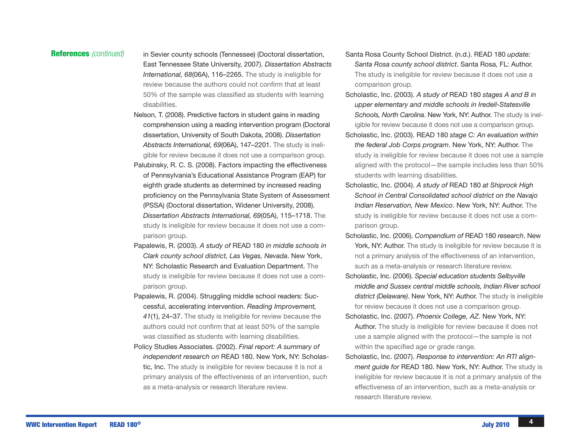**References** (continued) in Sevier county schools (Tennessee) (Doctoral dissertation, East Tennessee State University, 2007). *Dissertation Abstracts International, 68*(06A), 116–2265. The study is ineligible for review because the authors could not confirm that at least 50% of the sample was classified as students with learning disabilities.

- Nelson, T. (2008). Predictive factors in student gains in reading comprehension using a reading intervention program (Doctoral dissertation, University of South Dakota, 2008). *Dissertation Abstracts International, 69*(06A), 147–2201. The study is ineligible for review because it does not use a comparison group.
- Palubinsky, R. C. S. (2008). Factors impacting the effectiveness of Pennsylvania's Educational Assistance Program (EAP) for eighth grade students as determined by increased reading proficiency on the Pennsylvania State System of Assessment (PSSA) (Doctoral dissertation, Widener University, 2008). *Dissertation Abstracts International, 69*(05A), 115–1718. The study is ineligible for review because it does not use a comparison group.
- Papalewis, R. (2003). *A study of* READ 180 *in middle schools in Clark county school district, Las Vegas, Nevada*. New York, NY: Scholastic Research and Evaluation Department. The study is ineligible for review because it does not use a comparison group.
- Papalewis, R. (2004). Struggling middle school readers: Successful, accelerating intervention. *Reading Improvement, 41*(1), 24–37. The study is ineligible for review because the authors could not confirm that at least 50% of the sample was classified as students with learning disabilities.
- Policy Studies Associates. (2002). *Final report: A summary of independent research on* READ 180. New York, NY: Scholastic, Inc. The study is ineligible for review because it is not a primary analysis of the effectiveness of an intervention, such as a meta-analysis or research literature review.
- Santa Rosa County School District. (n.d.). READ 180 *update: Santa Rosa county school district*. Santa Rosa, FL: Author. The study is ineligible for review because it does not use a comparison group.
- Scholastic, Inc. (2003). *A study of* READ 180 *stages A and B in upper elementary and middle schools in Iredell-Statesville Schools, North Carolina*. New York, NY: Author. The study is ineligible for review because it does not use a comparison group.
- Scholastic, Inc. (2003). READ 180 *stage C: An evaluation within the federal Job Corps program*. New York, NY: Author. The study is ineligible for review because it does not use a sample aligned with the protocol—the sample includes less than 50% students with learning disabilities.
- Scholastic, Inc. (2004). *A study of* READ 180 *at Shiprock High School in Central Consolidated school district on the Navajo Indian Reservation, New Mexico*. New York, NY: Author. The study is ineligible for review because it does not use a comparison group.
- Scholastic, Inc. (2006). *Compendium of* READ 180 *research*. New York, NY: Author. The study is ineligible for review because it is not a primary analysis of the effectiveness of an intervention, such as a meta-analysis or research literature review.
- Scholastic, Inc. (2006). *Special education students Selbyville middle and Sussex central middle schools, Indian River school district (Delaware)*. New York, NY: Author. The study is ineligible for review because it does not use a comparison group.
- Scholastic, Inc. (2007). *Phoenix College, AZ*. New York, NY: Author. The study is ineligible for review because it does not use a sample aligned with the protocol—the sample is not within the specified age or grade range.
- Scholastic, Inc. (2007). *Response to intervention: An RTI alignment guide for* READ 180. New York, NY: Author. The study is ineligible for review because it is not a primary analysis of the effectiveness of an intervention, such as a meta-analysis or research literature review.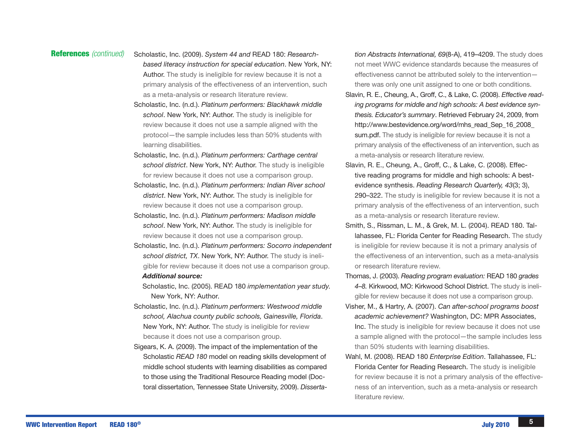- References *(continued)* Scholastic, Inc. (2009). *System 44 and* READ 180: *Researchbased literacy instruction for special education*. New York, NY: Author. The study is ineligible for review because it is not a primary analysis of the effectiveness of an intervention, such as a meta-analysis or research literature review.
	- Scholastic, Inc. (n.d.). *Platinum performers: Blackhawk middle school*. New York, NY: Author. The study is ineligible for review because it does not use a sample aligned with the protocol—the sample includes less than 50% students with learning disabilities.
	- Scholastic, Inc. (n.d.). *Platinum performers: Carthage central school district*. New York, NY: Author. The study is ineligible for review because it does not use a comparison group.
	- Scholastic, Inc. (n.d.). *Platinum performers: Indian River school district*. New York, NY: Author. The study is ineligible for review because it does not use a comparison group.
	- Scholastic, Inc. (n.d.). *Platinum performers: Madison middle school*. New York, NY: Author. The study is ineligible for review because it does not use a comparison group.
	- Scholastic, Inc. (n.d.). *Platinum performers: Socorro independent school district, TX*. New York, NY: Author. The study is ineligible for review because it does not use a comparison group.

## *Additional source:*

- Scholastic, Inc. (2005). READ 180 *implementation year study*. New York, NY: Author.
- Scholastic, Inc. (n.d.). *Platinum performers: Westwood middle school, Alachua county public schools, Gainesville, Florida*. New York, NY: Author. The study is ineligible for review because it does not use a comparison group.
- Sigears, K. A. (2009). The impact of the implementation of the Scholastic *READ 180* model on reading skills development of middle school students with learning disabilities as compared to those using the Traditional Resource Reading model (Doctoral dissertation, Tennessee State University, 2009). *Disserta-*

*tion Abstracts International, 69*(8-A), 419–4209. The study does not meet WWC evidence standards because the measures of effectiveness cannot be attributed solely to the intervention there was only one unit assigned to one or both conditions.

- Slavin, R. E., Cheung, A., Groff, C., & Lake, C. (2008). *Effective reading programs for middle and high schools: A best evidence synthesis. Educator's summary*. Retrieved February 24, 2009, from [http://www.bestevidence.org/word/mhs\\_read\\_Sep\\_16\\_2008\\_](http://www.bestevidence.org/word/mhs_read_Sep_16_2008_sum.pdf) [sum.pdf.](http://www.bestevidence.org/word/mhs_read_Sep_16_2008_sum.pdf) The study is ineligible for review because it is not a primary analysis of the effectiveness of an intervention, such as a meta-analysis or research literature review.
- Slavin, R. E., Cheung, A., Groff, C., & Lake, C. (2008). Effective reading programs for middle and high schools: A bestevidence synthesis. *Reading Research Quarterly, 43*(3; 3), 290–322. The study is ineligible for review because it is not a primary analysis of the effectiveness of an intervention, such as a meta-analysis or research literature review.
- Smith, S., Rissman, L. M., & Grek, M. L. (2004). READ 180. Tallahassee, FL: Florida Center for Reading Research. The study is ineligible for review because it is not a primary analysis of the effectiveness of an intervention, such as a meta-analysis or research literature review.
- Thomas, J. (2003). *Reading program evaluation:* READ 180 *grades 4–8.* Kirkwood, MO: Kirkwood School District. The study is ineligible for review because it does not use a comparison group.
- Visher, M., & Hartry, A. (2007). *Can after-school programs boost academic achievement?* Washington, DC: MPR Associates, Inc. The study is ineligible for review because it does not use a sample aligned with the protocol—the sample includes less than 50% students with learning disabilities.
- Wahl, M. (2008). READ 180 *Enterprise Edition*. Tallahassee, FL: Florida Center for Reading Research. The study is ineligible for review because it is not a primary analysis of the effectiveness of an intervention, such as a meta-analysis or research literature review.